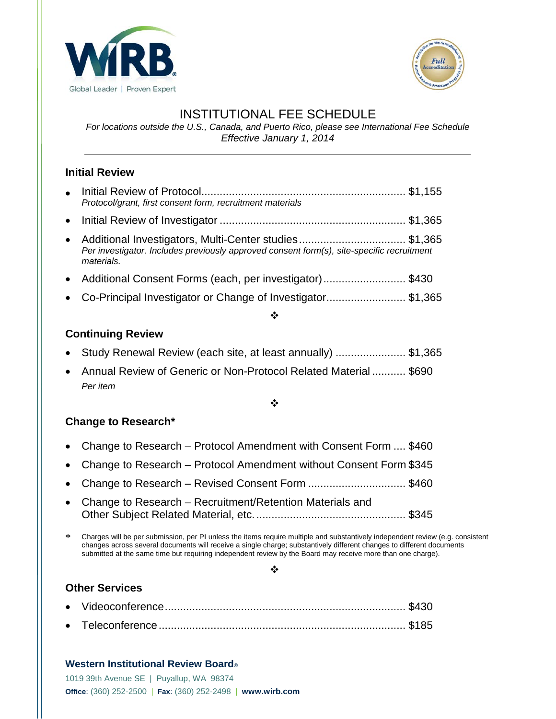



# INSTITUTIONAL FEE SCHEDULE

*For locations outside the U.S., Canada, and Puerto Rico, please see International Fee Schedule Effective January 1, 2014*

## **Initial Review**

|           | Protocol/grant, first consent form, recruitment materials                                                                                                        |  |
|-----------|------------------------------------------------------------------------------------------------------------------------------------------------------------------|--|
|           |                                                                                                                                                                  |  |
| $\bullet$ | Additional Investigators, Multi-Center studies\$1,365<br>Per investigator. Includes previously approved consent form(s), site-specific recruitment<br>materials. |  |
|           | • Additional Consent Forms (each, per investigator)\$430                                                                                                         |  |
|           | • Co-Principal Investigator or Change of Investigator\$1,365                                                                                                     |  |
|           |                                                                                                                                                                  |  |

### **Continuing Review**

- Study Renewal Review (each site, at least annually) ....................... \$1,365
- Annual Review of Generic or Non-Protocol Related Material ........... \$690 *Per item*

#### ÷

#### **Change to Research\***

- Change to Research Protocol Amendment with Consent Form .... \$460
- Change to Research Protocol Amendment without Consent Form \$345
- Change to Research Revised Consent Form .................................\$460
- Change to Research Recruitment/Retention Materials and Other Subject Related Material, etc.................................................. \$345

\* Charges will be per submission, per PI unless the items require multiple and substantively independent review (e.g. consistent changes across several documents will receive a single charge; substantively different changes to different documents submitted at the same time but requiring independent review by the Board may receive more than one charge).

#### $\cdot$

#### **Other Services**

#### **Western Institutional Review Board®**